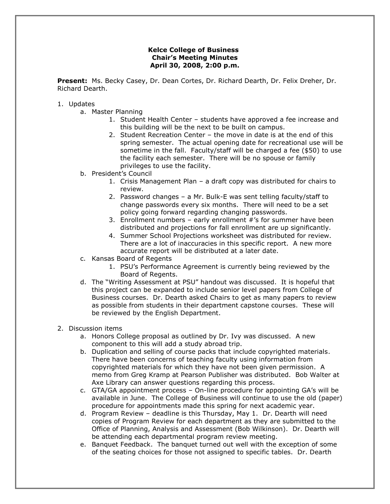## **Kelce College of Business Chair's Meeting Minutes April 30, 2008, 2:00 p.m.**

**Present:** Ms. Becky Casey, Dr. Dean Cortes, Dr. Richard Dearth, Dr. Felix Dreher, Dr. Richard Dearth.

## 1. Updates

- a. Master Planning
	- 1. Student Health Center students have approved a fee increase and this building will be the next to be built on campus.
	- 2. Student Recreation Center the move in date is at the end of this spring semester. The actual opening date for recreational use will be sometime in the fall. Faculty/staff will be charged a fee (\$50) to use the facility each semester. There will be no spouse or family privileges to use the facility.
- b. President's Council
	- 1. Crisis Management Plan a draft copy was distributed for chairs to review.
	- 2. Password changes a Mr. Bulk-E was sent telling faculty/staff to change passwords every six months. There will need to be a set policy going forward regarding changing passwords.
	- 3. Enrollment numbers early enrollment #'s for summer have been distributed and projections for fall enrollment are up significantly.
	- 4. Summer School Projections worksheet was distributed for review. There are a lot of inaccuracies in this specific report. A new more accurate report will be distributed at a later date.
- c. Kansas Board of Regents
	- 1. PSU's Performance Agreement is currently being reviewed by the Board of Regents.
- d. The "Writing Assessment at PSU" handout was discussed. It is hopeful that this project can be expanded to include senior level papers from College of Business courses. Dr. Dearth asked Chairs to get as many papers to review as possible from students in their department capstone courses. These will be reviewed by the English Department.
- 2. Discussion items
	- a. Honors College proposal as outlined by Dr. Ivy was discussed. A new component to this will add a study abroad trip.
	- b. Duplication and selling of course packs that include copyrighted materials. There have been concerns of teaching faculty using information from copyrighted materials for which they have not been given permission. A memo from Greg Kramp at Pearson Publisher was distributed. Bob Walter at Axe Library can answer questions regarding this process.
	- c. GTA/GA appointment process On-line procedure for appointing GA's will be available in June. The College of Business will continue to use the old (paper) procedure for appointments made this spring for next academic year.
	- d. Program Review deadline is this Thursday, May 1. Dr. Dearth will need copies of Program Review for each department as they are submitted to the Office of Planning, Analysis and Assessment (Bob Wilkinson). Dr. Dearth will be attending each departmental program review meeting.
	- e. Banquet Feedback. The banquet turned out well with the exception of some of the seating choices for those not assigned to specific tables. Dr. Dearth